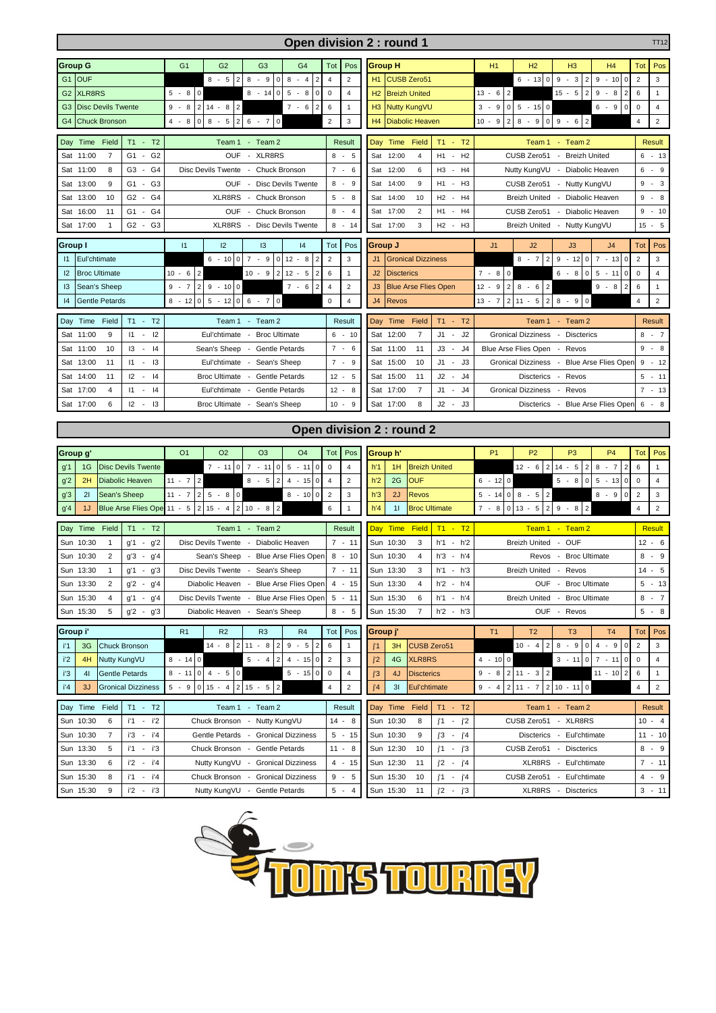|                                                   |                            |                                                                                                             |                                                              | Open division 2 : round 1                                                        |                                                                                                                 | <b>TT12</b>                                          |
|---------------------------------------------------|----------------------------|-------------------------------------------------------------------------------------------------------------|--------------------------------------------------------------|----------------------------------------------------------------------------------|-----------------------------------------------------------------------------------------------------------------|------------------------------------------------------|
| <b>Group G</b>                                    |                            | G <sub>1</sub><br>G <sub>2</sub><br>G <sub>3</sub><br>G <sub>4</sub>                                        | Tot<br>Pos                                                   | <b>Group H</b>                                                                   | H2<br>H <sub>3</sub><br>H1<br>H4                                                                                | Pos<br>Tot                                           |
| G1 OUF                                            |                            | $8 - 5$<br>$8 - 4$<br>$\overline{2}$<br>$8 -$<br>9<br>$\circ$                                               | 2<br>$\overline{4}$<br>l 2                                   | <b>CUSB Zero51</b><br>H1                                                         | $6 - 130$<br>9<br>$-100$<br>9<br>$-3$<br>$\overline{2}$                                                         | $\overline{2}$<br>3                                  |
| <b>XLR8RS</b><br>G <sub>2</sub>                   |                            | $5 - 8$<br>$\overline{0}$<br>5<br>$8 - 14$<br>$-8$<br>0                                                     | $\mathsf 0$<br>$\overline{4}$<br>$\overline{0}$              | <b>Breizh United</b><br>H <sub>2</sub>                                           | $\overline{2}$<br>$13 - 6$<br>$15 - 5$<br>9<br>$-8$<br>2<br>$\overline{2}$                                      | 6<br>$\mathbf{1}$                                    |
| <b>Disc Devils Twente</b><br>G <sub>3</sub>       |                            | $2 14 - 8 2$<br>$7 - 6$<br>$9 - 8$                                                                          | 6<br>$\mathbf{1}$<br>l 2                                     | H3<br><b>Nutty KungVU</b>                                                        | $3 - 9$<br>$0 \ 5 \ -15 \ 0$<br>$6 - 9$<br>$\mathsf 0$                                                          | $\mathbf 0$<br>$\overline{4}$                        |
| <b>Chuck Bronson</b><br>G4                        |                            | $8 - 5$<br>$\overline{2}$<br>$\mathbf 0$<br>$4 - 8$<br>$\mathbf 0$<br>$6 - 7$                               | $\overline{2}$<br>$\mathbf{3}$                               | H4<br><b>Diabolic Heaven</b>                                                     | $10 - 9$<br>$\overline{2}$<br>$8 - 90$<br>$9 - 6$<br>$\overline{2}$                                             | $\overline{2}$<br>$\overline{4}$                     |
| Day Time Field                                    | $T1 - T2$                  | Team 1 - Team 2                                                                                             | Result                                                       | Day Time Field<br>$T1 - T2$                                                      | Team 1 - Team 2                                                                                                 | <b>Result</b>                                        |
| Sat 11:00<br>$\overline{7}$                       | G1 - G2                    | <b>OUF</b><br>- XLR8RS                                                                                      | $8 - 5$                                                      | Sat 12:00<br>$\overline{4}$<br>H1<br>$-H2$                                       | CUSB Zero51<br><b>Breizh United</b><br>$\overline{\phantom{a}}$                                                 | $6 - 13$                                             |
| Sat 11:00<br>8                                    | G3 - G4                    | Disc Devils Twente - Chuck Bronson                                                                          | $7 - 6$                                                      | 12:00<br>- H4<br>Sat<br>6<br>H3                                                  | Nutty KungVU - Diabolic Heaven                                                                                  | $6 - 9$                                              |
| Sat 13:00<br>9                                    | G3<br>G1<br>$\sim$         | <b>OUF</b><br>- Disc Devils Twente                                                                          | $8 - 9$                                                      | Sat<br>14:00<br>9<br>H1<br>- H3                                                  | CUSB Zero51<br>- Nutty KungVU                                                                                   | 9<br>$-3$                                            |
| Sat 13:00<br>10                                   | G2 - G4                    | XLR8RS<br>- Chuck Bronson                                                                                   | $5 - 8$                                                      | 14:00<br>10<br>H <sub>2</sub><br>- H4<br>Sat                                     | Breizh United - Diabolic Heaven                                                                                 | $-8$<br>9                                            |
| G1 - G4<br>Sat 16:00<br>11                        |                            | OUF - Chuck Bronson                                                                                         | 8<br>$-4$                                                    | 17:00<br>$\overline{2}$<br>- H4<br>Sat<br>H1                                     | CUSB Zero51 - Diabolic Heaven                                                                                   | $-10$<br>9                                           |
| Sat 17:00<br>1                                    | $G2 - G3$                  | XLR8RS - Disc Devils Twente                                                                                 | 8<br>- 14                                                    | Sat 17:00<br>3<br>H <sub>2</sub><br>H <sub>3</sub><br>$\sim$                     | Breizh United - Nutty KungVU                                                                                    | $15 -$<br>5                                          |
| Group I                                           |                            | 12<br> 1<br>13<br>14                                                                                        | Tot<br>Pos                                                   | Group J                                                                          | J2<br>J <sub>1</sub><br>J3<br>J <sub>4</sub>                                                                    | Tot<br>Pos                                           |
| Eul'chtimate<br>$\vert$ 11                        |                            | $6 - 100$<br>$7 - 9 0 12 - 8$                                                                               | $\overline{2}$<br>$\mathbf{3}$<br>l 2                        | J1<br><b>Gronical Dizziness</b>                                                  | $8 - 7$ 2<br>$9 - 12$ 0 7<br>$-13$<br>$\mathsf 0$                                                               | $\overline{2}$<br>3                                  |
| <b>Broc Ultimate</b><br>$ 2\rangle$               |                            | $10 - 6$<br>$10 - 9$<br>$12 - 5$<br>$\overline{2}$<br>$\overline{2}$                                        | 6<br>$\mathbf{1}$<br>$\overline{2}$                          | J <sub>2</sub><br><b>Discterics</b>                                              | $7 - 8$<br>$\overline{0}$<br>$6 - 8$<br>$\sqrt{5}$<br>$-11$<br>$\mathsf 0$                                      | $\mathbf 0$<br>$\overline{4}$                        |
| Sean's Sheep<br>13                                |                            | $7 - 6$<br>$9 - 100$<br>$9 - 7$<br>$\overline{2}$                                                           | $\overline{4}$<br>$\overline{2}$<br>$\overline{2}$           | J3<br><b>Blue Arse Flies Open</b>                                                | $\vert$ 2<br>$12 - 9$<br>$8 - 62$<br>$9 - 8$<br>$\overline{2}$                                                  | 6<br>$\mathbf{1}$                                    |
| <b>Gentle Petards</b><br> 4                       |                            | $5 - 120$<br>$6 - 7$<br>$8 - 120$<br>0                                                                      | $\mathsf{O}\xspace$<br>4                                     | J <sub>4</sub><br><b>Revos</b>                                                   | $\overline{2}$<br>$\overline{2}$<br>$8 - 9$<br>$13 - 7$<br>$11 - 5$                                             | $\overline{2}$<br>$\overline{4}$                     |
|                                                   | $T1 - T2$                  |                                                                                                             |                                                              |                                                                                  |                                                                                                                 |                                                      |
| Day Time Field<br>Sat 11:00<br>9                  | 12<br>11<br>$\sim$         | Team 1 - Team 2<br>Eul'chtimate - Broc Ultimate                                                             | Result<br>$6 - 10$                                           | Day Time Field<br>$T1 - T2$<br>Sat 12:00<br>J2<br>$\overline{7}$<br>J1<br>$\sim$ | Team 1 - Team 2<br>Gronical Dizziness -<br><b>Discterics</b>                                                    | Result<br>$8 - 7$                                    |
| Sat 11:00<br>10                                   | 4<br>13<br>$\sim$          | Sean's Sheep - Gentle Petards                                                                               | $7 - 6$                                                      | Sat 11:00<br>11<br>J3<br>J4<br>$\sim$                                            | Blue Arse Flies Open - Revos                                                                                    | $9 - 8$                                              |
| Sat 13:00<br>11                                   | 11<br>13<br>$\sim$         | Eul'chtimate - Sean's Sheep                                                                                 | $7 - 9$                                                      | J3<br>Sat<br>15:00<br>10<br>J1<br>$\sim$                                         | Gronical Dizziness - Blue Arse Flies Oper                                                                       | 9<br>- 12                                            |
| Sat 14:00<br>11                                   | 12<br> 4<br>$\sim$         | Broc Ultimate - Gentle Petards                                                                              | $12 - 5$                                                     | Sat 15:00<br>J2<br>J4<br>11<br>$\sim$                                            | Discterics -<br>Revos                                                                                           | $5 - 11$                                             |
| Sat 17:00<br>4                                    | 11<br>- 14                 | Eul'chtimate - Gentle Petards                                                                               | $12 - 8$                                                     | J4<br>Sat 17:00<br>7<br>J1 -                                                     | <b>Gronical Dizziness</b><br>Revos<br>$\sim$                                                                    | $7 - 13$                                             |
| 6<br>Sat 17:00                                    | 12<br>13<br>$\sim$         | Broc Ultimate - Sean's Sheep                                                                                | $10 - 9$                                                     | J2<br>Sat 17:00<br>8<br>J3<br>$\sim$                                             | Discterics - Blue Arse Flies Open                                                                               | $6 - 8$                                              |
| Group g'                                          |                            | O <sub>2</sub><br>O <sub>3</sub><br>O <sub>4</sub><br>O <sub>1</sub>                                        | Pos<br>Tot                                                   | Open division 2 : round 2<br>Group h'                                            | P <sub>1</sub><br>P <sub>2</sub><br>P <sub>3</sub><br>P <sub>4</sub>                                            | Pos<br>Tot                                           |
| 1G<br>g'1                                         | <b>Disc Devils Twente</b>  | $7 - 110$<br>$7 - 11$<br>$5 - 11$<br>0                                                                      |                                                              |                                                                                  |                                                                                                                 |                                                      |
| 2H<br>g'2                                         | Diabolic Heaven            |                                                                                                             |                                                              |                                                                                  |                                                                                                                 |                                                      |
|                                                   |                            |                                                                                                             | $\mathsf{O}\xspace$<br>$\overline{4}$<br>$^{\circ}$          | <b>Breizh United</b><br>1H<br>h'1                                                | $12 - 6$ 2<br>$14 - 5$<br>$-7$<br>$\overline{c}$<br>8<br>$\overline{2}$<br>$\Omega$                             | 6<br>$\mathbf{1}$                                    |
| 21                                                | Sean's Sheep               | $11 - 7$<br>$8 - 5$<br>$\overline{c}$<br>$\overline{4}$<br>2<br>$-15$<br>$25 - 80$<br>$11 - 7$<br>$8 - 100$ | $\overline{2}$<br>4<br>$\overline{0}$<br>3<br>$\overline{2}$ | h <sup>2</sup><br>2G<br><b>OUF</b><br>h'3<br>2J<br><b>Revos</b>                  | $6 - 12$<br>$5 - 8$<br>5<br>$-13$<br>$\mathsf 0$<br>$\mathbf 0$<br>$5 - 14$ 0 8 - 5 2<br>$8 - 9$<br>$\mathbf 0$ | $\mathbf 0$<br>$\overline{4}$<br>$\overline{2}$<br>3 |
| g'3<br>g'4<br>1J                                  | Blue Arse Flies Ope 11 - 5 | $215 - 4$<br>$\overline{2}$<br>$10 - 8$<br>$\overline{2}$                                                   | 6<br>$\overline{1}$                                          | h'4<br>11<br><b>Broc Ultimate</b>                                                | $7 - 8$<br>$013 - 5$<br>$\overline{2}$<br>$9 - 8$                                                               | $\overline{2}$<br>$\overline{4}$                     |
|                                                   |                            |                                                                                                             |                                                              |                                                                                  |                                                                                                                 |                                                      |
| Time<br>Field<br>Day<br>Sun 10:30<br>$\mathbf{1}$ | $T1 - T2$<br>g'2<br>g'1 -  | Team 1 - Team 2<br>Disc Devils Twente - Diabolic Heaven                                                     | Result<br>$7 - 11$                                           | Day Time Field<br>$T1 - T2$<br>3<br>Sun 10:30<br>h'1 - h'2                       | Team 1 - Team 2<br>- OUF<br><b>Breizh United</b>                                                                | <b>Result</b><br>$12 - 6$                            |
| 2<br>Sun 10:30                                    | $g'3 - g'4$                | Sean's Sheep - Blue Arse Flies Open                                                                         | $8 - 10$                                                     | Sun 10:30<br>$\overline{4}$<br>$h'3 - h'4$                                       | Revos - Broc Ultimate                                                                                           | $8 - 9$                                              |
| Sun 13:30<br>$\mathbf{1}$                         | $g'1 - g'3$                | Disc Devils Twente - Sean's Sheep                                                                           | $7 - 11$                                                     | Sun 13:30<br>$\mathbf{3}$<br>$h'1 - h'3$                                         | Breizh United - Revos                                                                                           | 5<br>14<br>$\sim$                                    |
| Sun 13:30<br>2                                    | $g'2 - g'4$                | Diabolic Heaven - Blue Arse Flies Open                                                                      | $4 - 15$                                                     | Sun 13:30<br>4<br>h'2 - h'4                                                      | OUF - Broc Ultimate                                                                                             | $5 - 13$                                             |
| Sun 15:30<br>4                                    | g'1 -<br>g'4               | Disc Devils Twente - Blue Arse Flies Open                                                                   | $5 - 11$                                                     | Sun 15:30<br>6<br>h'1 - h'4                                                      | Breizh United - Broc Ultimate                                                                                   | $8 - 7$                                              |
| Sun 15:30<br>5                                    | $g'2 - g'3$                | Diabolic Heaven - Sean's Sheep                                                                              | $8 - 5$                                                      | Sun 15:30<br>$\overline{7}$<br>$h'2 - h'3$                                       | OUF - Revos                                                                                                     | $5 - 8$                                              |
| Group i'                                          |                            | R <sub>2</sub><br>R <sub>3</sub><br>R <sub>1</sub><br>R <sub>4</sub>                                        | Tot  <br>Pos                                                 | Group j'                                                                         | T1<br>T <sub>2</sub><br>T <sub>3</sub><br>T <sub>4</sub>                                                        | Tot Pos                                              |
| i'1<br>3G                                         | <b>Chuck Bronson</b>       | $14 - 8$   2   11 - 8   2<br>$9 - 5$                                                                        | 6<br>$\overline{2}$<br>$\mathbf{1}$                          | CUSB Zero51<br>i'1<br>3H                                                         | $10 - 4$ 2<br>$8 - 9$ 0 4 - 9<br>$\mathsf 0$                                                                    | $\overline{2}$<br>3                                  |
| i'2<br>4H                                         | Nutty KungVU               | $8 - 140$<br>$5 - 4$ 2<br>$4 - 150$                                                                         | $\overline{2}$<br>3                                          | j'2<br>4G<br><b>XLR8RS</b>                                                       | $4 - 1000$<br>$3 - 11 \mid 0 \mid 7 - 11 \mid$<br>$\circ$                                                       | $\overline{4}$<br>$\mathbf 0$                        |
| i'3<br>41                                         | Gentle Petards             | $8 - 11 \begin{vmatrix} 0 & 4 & -5 \end{vmatrix}$ 0<br>$5 - 150$                                            | $\mathsf 0$<br>$\overline{4}$                                | j'3<br><b>Discterics</b><br>4J                                                   | $2 \mid 11 - 3 \mid 2$<br>$9 - 8$<br>$11 - 10$ 2                                                                | 6<br>$\mathbf{1}$                                    |
| i'4<br>3J                                         | <b>Gronical Dizziness</b>  | $5 - 9$ 0 15 - 4 2 15 - 5 2                                                                                 | $\overline{4}$<br>$\overline{2}$                             | j'4<br>3I<br>Eul'chtimate                                                        | $2   11 - 7   2   10 - 11   0$<br>$9 - 4$                                                                       | $\overline{2}$<br>$\overline{4}$                     |
| Day Time Field                                    | $T1 - T2$                  | Team 1 - Team 2                                                                                             | Result                                                       | Day Time Field<br>$T1 - T2$                                                      | Team 1 - Team 2                                                                                                 | Result                                               |
| Sun 10:30<br>6                                    | $i'1 - i'2$                | Chuck Bronson - Nutty KungVU                                                                                | $14 - 8$                                                     | Sun 10:30<br>8<br>$j'1 - j'2$                                                    | CUSB Zero51 - XLR8RS                                                                                            | $10 - 4$                                             |
| Sun 10:30<br>$\overline{7}$                       | i'3 - i'4                  | Gentle Petards - Gronical Dizziness                                                                         | $5 - 15$                                                     | Sun 10:30<br>9<br>j'3 - j'4                                                      | Discterics - Eul'chtimate                                                                                       | $11 - 10$                                            |
| Sun 13:30<br>5                                    | $i'1 - i'3$                | Chuck Bronson - Gentle Petards                                                                              | $11 - 8$                                                     | Sun 12:30<br>10<br>$j'1 - j'3$                                                   | CUSB Zero51 - Discterics                                                                                        | $8 - 9$                                              |
| Sun 13:30<br>6                                    | i'2 - i'4                  | Nutty KungVU - Gronical Dizziness                                                                           | $4 - 15$                                                     | Sun 12:30<br>11<br>j'2 - j'4                                                     | XLR8RS - Eul'chtimate                                                                                           | $7 - 11$                                             |
| Sun 15:30<br>8                                    | $i'1 - i'4$                | Chuck Bronson - Gronical Dizziness                                                                          | $9 - 5$                                                      | Sun 15:30<br>10<br>j'1 - j'4                                                     | CUSB Zero51 - Eul'chtimate                                                                                      | $4 - 9$                                              |